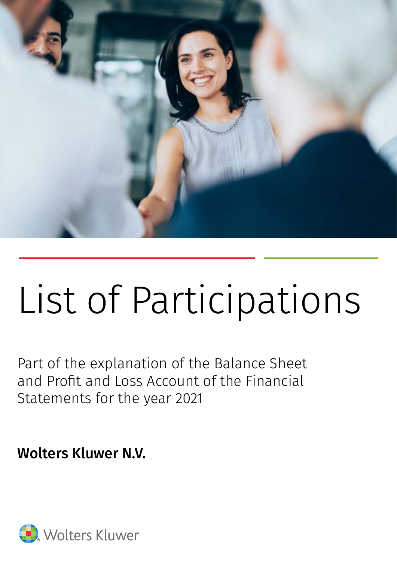

# List of Participations

Part of the explanation of the Balance Sheet and Profit and Loss Account of the Financial Statements for the year 2021

Wolters Kluwer N.V.

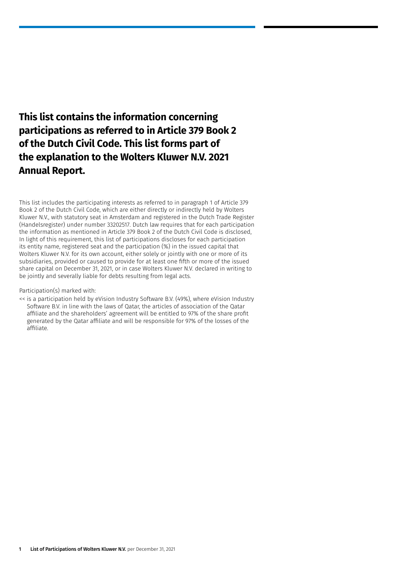#### **This list contains the information concerning participations as referred to in Article 379 Book 2 of the Dutch Civil Code. This list forms part of the explanation to the Wolters Kluwer N.V. 2021 Annual Report.**

This list includes the participating interests as referred to in paragraph 1 of Article 379 Book 2 of the Dutch Civil Code, which are either directly or indirectly held by Wolters Kluwer N.V., with statutory seat in Amsterdam and registered in the Dutch Trade Register (Handelsregister) under number 33202517. Dutch law requires that for each participation the information as mentioned in Article 379 Book 2 of the Dutch Civil Code is disclosed, In light of this requirement, this list of participations discloses for each participation its entity name, registered seat and the participation (%) in the issued capital that Wolters Kluwer N.V. for its own account, either solely or jointly with one or more of its subsidiaries, provided or caused to provide for at least one fifth or more of the issued share capital on December 31, 2021, or in case Wolters Kluwer N.V. declared in writing to be jointly and severally liable for debts resulting from legal acts.

#### Participation(s) marked with:

<< is a participation held by eVision Industry Software B.V. (49%), where eVision Industry Software B.V. in line with the laws of Qatar, the articles of association of the Qatar affiliate and the shareholders' agreement will be entitled to 97% of the share profit generated by the Qatar affiliate and will be responsible for 97% of the losses of the affiliate.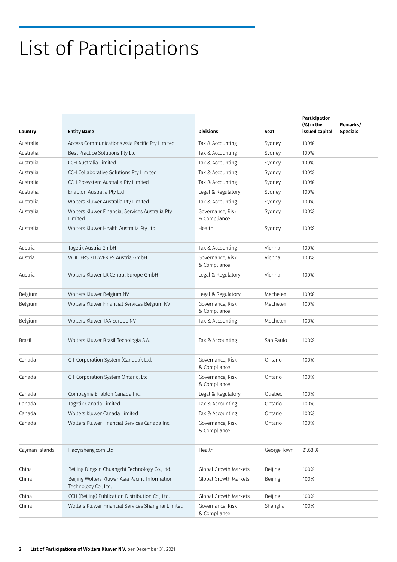## List of Participations

| Country        | <b>Entity Name</b>                                                      | <b>Divisions</b>                 | Seat        | Participation<br>(%) in the<br>issued capital | Remarks/<br><b>Specials</b> |
|----------------|-------------------------------------------------------------------------|----------------------------------|-------------|-----------------------------------------------|-----------------------------|
| Australia      | Access Communications Asia Pacific Pty Limited                          | Tax & Accounting                 | Sydney      | 100%                                          |                             |
| Australia      | Best Practice Solutions Pty Ltd                                         | Tax & Accounting                 | Sydney      | 100%                                          |                             |
| Australia      | CCH Australia Limited                                                   | Tax & Accounting                 | Sydney      | 100%                                          |                             |
| Australia      | CCH Collaborative Solutions Pty Limited                                 | Tax & Accounting                 | Sydney      | 100%                                          |                             |
| Australia      | CCH Prosystem Australia Pty Limited                                     | Tax & Accounting                 | Sydney      | 100%                                          |                             |
| Australia      | Enablon Australia Pty Ltd                                               | Legal & Regulatory               | Sydney      | 100%                                          |                             |
| Australia      | Wolters Kluwer Australia Pty Limited                                    | Tax & Accounting                 | Sydney      | 100%                                          |                             |
| Australia      | Wolters Kluwer Financial Services Australia Pty<br>Limited              | Governance, Risk<br>& Compliance | Sydney      | 100%                                          |                             |
| Australia      | Wolters Kluwer Health Australia Pty Ltd                                 | Health                           | Sydney      | 100%                                          |                             |
| Austria        | Tagetik Austria GmbH                                                    | Tax & Accounting                 | Vienna      | 100%                                          |                             |
| Austria        | <b>WOLTERS KLUWER FS Austria GmbH</b>                                   | Governance, Risk<br>& Compliance | Vienna      | 100%                                          |                             |
| Austria        | Wolters Kluwer LR Central Europe GmbH                                   | Legal & Regulatory               | Vienna      | 100%                                          |                             |
|                |                                                                         |                                  |             |                                               |                             |
| Belgium        | Wolters Kluwer Belgium NV                                               | Legal & Regulatory               | Mechelen    | 100%                                          |                             |
| Belgium        | Wolters Kluwer Financial Services Belgium NV                            | Governance, Risk<br>& Compliance | Mechelen    | 100%                                          |                             |
| Belgium        | Wolters Kluwer TAA Europe NV                                            | Tax & Accounting                 | Mechelen    | 100%                                          |                             |
|                |                                                                         |                                  |             |                                               |                             |
| <b>Brazil</b>  | Wolters Kluwer Brasil Tecnologia S.A.                                   | Tax & Accounting                 | São Paulo   | 100%                                          |                             |
| Canada         | CT Corporation System (Canada), Ltd.                                    | Governance, Risk<br>& Compliance | Ontario     | 100%                                          |                             |
| Canada         | CT Corporation System Ontario, Ltd                                      | Governance, Risk<br>& Compliance | Ontario     | 100%                                          |                             |
| Canada         | Compagnie Enablon Canada Inc.                                           | Legal & Regulatory               | Quebec      | 100%                                          |                             |
| Canada         | Tagetik Canada Limited                                                  | Tax & Accounting                 | Ontario     | 100%                                          |                             |
| Canada         | Wolters Kluwer Canada Limited                                           | Tax & Accounting                 | Ontario     | 100%                                          |                             |
| Canada         | Wolters Kluwer Financial Services Canada Inc.                           | Governance, Risk<br>& Compliance | Ontario     | 100%                                          |                             |
|                |                                                                         |                                  |             |                                               |                             |
| Cayman Islands | Haoyisheng.com Ltd                                                      | Health                           | George Town | 21.68 %                                       |                             |
|                |                                                                         |                                  |             |                                               |                             |
| China          | Beijing Dingxin Chuangzhi Technology Co., Ltd.                          | Global Growth Markets            | Beijing     | 100%                                          |                             |
| China          | Beijing Wolters Kluwer Asia Pacific Information<br>Technology Co., Ltd. | Global Growth Markets            | Beijing     | 100%                                          |                             |
| China          | CCH (Beijing) Publication Distribution Co., Ltd.                        | Global Growth Markets            | Beijing     | 100%                                          |                             |
| China          | Wolters Kluwer Financial Services Shanghai Limited                      | Governance, Risk<br>& Compliance | Shanghai    | 100%                                          |                             |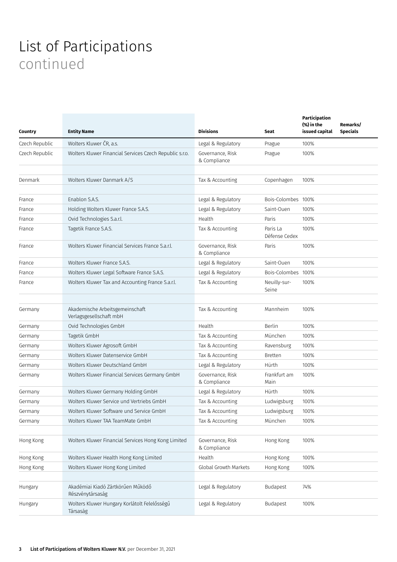| Country        | <b>Entity Name</b>                                         | <b>Divisions</b>                 | Seat                      | Participation<br>(%) in the<br>issued capital | Remarks/<br><b>Specials</b> |
|----------------|------------------------------------------------------------|----------------------------------|---------------------------|-----------------------------------------------|-----------------------------|
| Czech Republic | Wolters Kluwer ČR, a.s.                                    | Legal & Regulatory               | Prague                    | 100%                                          |                             |
| Czech Republic | Wolters Kluwer Financial Services Czech Republic s.r.o.    | Governance, Risk<br>& Compliance | Prague                    | 100%                                          |                             |
| Denmark        | Wolters Kluwer Danmark A/S                                 | Tax & Accounting                 | Copenhagen                | 100%                                          |                             |
| France         | Enablon S.A.S.                                             | Legal & Regulatory               | Bois-Colombes 100%        |                                               |                             |
| France         | Holding Wolters Kluwer France S.A.S.                       | Legal & Regulatory               | Saint-Ouen                | 100%                                          |                             |
| France         | Ovid Technologies S.a.r.l.                                 | Health                           | Paris                     | 100%                                          |                             |
| France         | Tagetik France S.A.S.                                      | Tax & Accounting                 | Paris La<br>Défense Cedex | 100%                                          |                             |
| France         | Wolters Kluwer Financial Services France S.a.r.l.          | Governance, Risk<br>& Compliance | Paris                     | 100%                                          |                             |
| France         | Wolters Kluwer France S.A.S.                               | Legal & Regulatory               | Saint-Ouen                | 100%                                          |                             |
| France         | Wolters Kluwer Legal Software France S.A.S.                | Legal & Regulatory               | Bois-Colombes 100%        |                                               |                             |
| France         | Wolters Kluwer Tax and Accounting France S.a.r.l.          | Tax & Accounting                 | Neuilly-sur-<br>Seine     | 100%                                          |                             |
| Germany        | Akademische Arbeitsgemeinschaft<br>Verlagsgesellschaft mbH | Tax & Accounting                 | Mannheim                  | 100%                                          |                             |
| Germany        | Ovid Technologies GmbH                                     | Health                           | Berlin                    | 100%                                          |                             |
| Germany        | Tagetik GmbH                                               | Tax & Accounting                 | München                   | 100%                                          |                             |
| Germany        | Wolters Kluwer Agrosoft GmbH                               | Tax & Accounting                 | Ravensburg                | 100%                                          |                             |
| Germany        | Wolters Kluwer Datenservice GmbH                           | Tax & Accounting                 | <b>Bretten</b>            | 100%                                          |                             |
| Germany        | Wolters Kluwer Deutschland GmbH                            | Legal & Regulatory               | Hürth                     | 100%                                          |                             |
| Germany        | Wolters Kluwer Financial Services Germany GmbH             | Governance, Risk<br>& Compliance | Frankfurt am<br>Main      | 100%                                          |                             |
| Germany        | Wolters Kluwer Germany Holding GmbH                        | Legal & Regulatory               | Hürth                     | 100%                                          |                             |
| Germany        | Wolters Kluwer Service und Vertriebs GmbH                  | Tax & Accounting                 | Ludwigsburg               | 100%                                          |                             |
| Germany        | Wolters Kluwer Software und Service GmbH                   | Tax & Accounting                 | Ludwigsburg               | 100%                                          |                             |
| Germany        | Wolters Kluwer TAA TeamMate GmbH                           | Tax & Accounting                 | München                   | 100%                                          |                             |
|                |                                                            |                                  |                           |                                               |                             |
| Hong Kong      | Wolters Kluwer Financial Services Hong Kong Limited        | Governance, Risk<br>& Compliance | Hong Kong                 | 100%                                          |                             |
| Hong Kong      | Wolters Kluwer Health Hong Kong Limited                    | Health                           | Hong Kong                 | 100%                                          |                             |
| Hong Kong      | Wolters Kluwer Hong Kong Limited                           | Global Growth Markets            | Hong Kong                 | 100%                                          |                             |
| Hungary        | Akadémiai Kiadó Zártkörűen Működő<br>Részvénytársaság      | Legal & Regulatory               | <b>Budapest</b>           | 74%                                           |                             |
| Hungary        | Wolters Kluwer Hungary Korlátolt Felelősségű<br>Társaság   | Legal & Regulatory               | Budapest                  | 100%                                          |                             |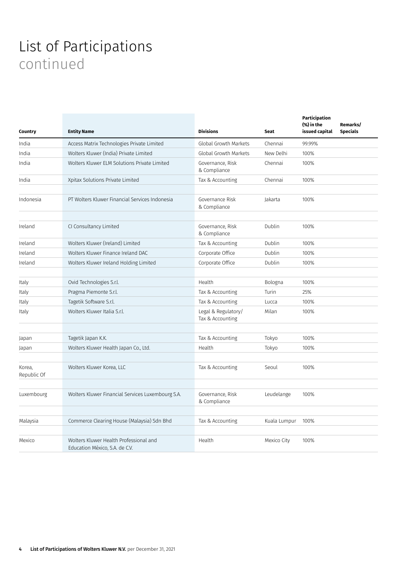| Country               | <b>Entity Name</b>                                                       | <b>Divisions</b>                        | <b>Seat</b>  | Participation<br>(%) in the<br>issued capital | Remarks/<br><b>Specials</b> |
|-----------------------|--------------------------------------------------------------------------|-----------------------------------------|--------------|-----------------------------------------------|-----------------------------|
| India                 | Access Matrix Technologies Private Limited                               | Global Growth Markets                   | Chennai      | 99.99%                                        |                             |
| India                 | Wolters Kluwer (India) Private Limited                                   | Global Growth Markets                   | New Delhi    | 100%                                          |                             |
| India                 | Wolters Kluwer ELM Solutions Private Limited                             | Governance, Risk<br>& Compliance        | Chennai      | 100%                                          |                             |
| India                 | Xpitax Solutions Private Limited                                         | Tax & Accounting                        | Chennai      | 100%                                          |                             |
|                       |                                                                          |                                         |              |                                               |                             |
| Indonesia             | PT Wolters Kluwer Financial Services Indonesia                           | Governance Risk<br>& Compliance         | Jakarta      | 100%                                          |                             |
|                       |                                                                          |                                         |              |                                               |                             |
| Ireland               | CI Consultancy Limited                                                   | Governance, Risk<br>& Compliance        | Dublin       | 100%                                          |                             |
| Ireland               | Wolters Kluwer (Ireland) Limited                                         | Tax & Accounting                        | Dublin       | 100%                                          |                             |
| Ireland               | Wolters Kluwer Finance Ireland DAC                                       | Corporate Office                        | Dublin       | 100%                                          |                             |
| Ireland               | Wolters Kluwer Ireland Holding Limited                                   | Corporate Office                        | Dublin       | 100%                                          |                             |
|                       |                                                                          |                                         |              |                                               |                             |
| Italy                 | Ovid Technologies S.r.l.                                                 | Health                                  | Bologna      | 100%                                          |                             |
| Italy                 | Pragma Piemonte S.r.l.                                                   | Tax & Accounting                        | Turin        | 25%                                           |                             |
| Italy                 | Tagetik Software S.r.l.                                                  | Tax & Accounting                        | Lucca        | 100%                                          |                             |
| Italy                 | Wolters Kluwer Italia S.r.l.                                             | Legal & Regulatory/<br>Tax & Accounting | Milan        | 100%                                          |                             |
|                       |                                                                          |                                         |              |                                               |                             |
| Japan                 | Tagetik Japan K.K.                                                       | Tax & Accounting                        | Tokyo        | 100%                                          |                             |
| Japan                 | Wolters Kluwer Health Japan Co., Ltd.                                    | Health                                  | Tokyo        | 100%                                          |                             |
|                       |                                                                          |                                         |              |                                               |                             |
| Korea,<br>Republic Of | Wolters Kluwer Korea, LLC                                                | Tax & Accounting                        | Seoul        | 100%                                          |                             |
|                       |                                                                          |                                         |              |                                               |                             |
| Luxembourg            | Wolters Kluwer Financial Services Luxembourg S.A.                        | Governance, Risk<br>& Compliance        | Leudelange   | 100%                                          |                             |
|                       |                                                                          |                                         |              |                                               |                             |
| Malaysia              | Commerce Clearing House (Malaysia) Sdn Bhd                               | Tax & Accounting                        | Kuala Lumpur | 100%                                          |                             |
|                       |                                                                          |                                         |              |                                               |                             |
| Mexico                | Wolters Kluwer Health Professional and<br>Education México, S.A. de C.V. | Health                                  | Mexico City  | 100%                                          |                             |
|                       |                                                                          |                                         |              |                                               |                             |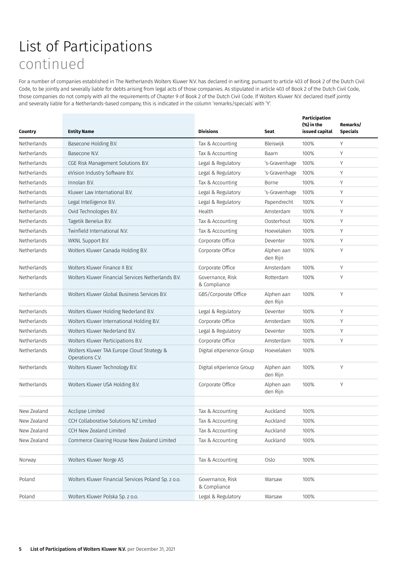For a number of companies established in The Netherlands Wolters Kluwer N.V. has declared in writing, pursuant to article 403 of Book 2 of the Dutch Civil Code, to be jointly and severally liable for debts arising from legal acts of those companies. As stipulated in article 403 of Book 2 of the Dutch Civil Code, those companies do not comply with all the requirements of Chapter 9 of Book 2 of the Dutch Civil Code. If Wolters Kluwer N.V. declared itself jointly and severally liable for a Netherlands-based company, this is indicated in the column 'remarks/specials' with 'Y'.

| Country            | <b>Entity Name</b>                                            | <b>Divisions</b>                 | Seat                   | Participation<br>(%) in the<br>issued capital | Remarks/<br><b>Specials</b> |
|--------------------|---------------------------------------------------------------|----------------------------------|------------------------|-----------------------------------------------|-----------------------------|
| Netherlands        | Basecone Holding B.V.                                         | Tax & Accounting                 | Bleiswijk              | 100%                                          | Y                           |
| Netherlands        | Basecone N.V.                                                 | Tax & Accounting                 | Baarn                  | 100%                                          | Y                           |
| Netherlands        | CGE Risk Management Solutions B.V.                            | Legal & Regulatory               | 's-Gravenhage          | 100%                                          | Υ                           |
| Netherlands        | eVision Industry Software B.V.                                | Legal & Regulatory               | 's-Gravenhage          | 100%                                          | Y                           |
| Netherlands        | Innolan B.V.                                                  | Tax & Accounting                 | Borne                  | 100%                                          | Y                           |
| Netherlands        | Kluwer Law International B.V.                                 | Legal & Regulatory               | 's-Gravenhage          | 100%                                          | Y                           |
| <b>Netherlands</b> | Legal Intelligence B.V.                                       | Legal & Regulatory               | Papendrecht            | 100%                                          | Y                           |
| Netherlands        | Ovid Technologies B.V.                                        | Health                           | Amsterdam              | 100%                                          | Υ                           |
| Netherlands        | Tagetik Benelux B.V.                                          | Tax & Accounting                 | Oosterhout             | 100%                                          | Y                           |
| <b>Netherlands</b> | Twinfield International N.V.                                  | Tax & Accounting                 | Hoevelaken             | 100%                                          | Υ                           |
| Netherlands        | WKNL Support B.V.                                             | Corporate Office                 | Deventer               | 100%                                          | Y                           |
| Netherlands        | Wolters Kluwer Canada Holding B.V.                            | Corporate Office                 | Alphen aan<br>den Rijn | 100%                                          | Υ                           |
| Netherlands        | Wolters Kluwer Finance II B.V.                                | Corporate Office                 | Amsterdam              | 100%                                          | Υ                           |
| Netherlands        | Wolters Kluwer Financial Services Netherlands B.V.            | Governance, Risk<br>& Compliance | Rotterdam              | 100%                                          | Y                           |
| Netherlands        | Wolters Kluwer Global Business Services B.V.                  | GBS/Corporate Office             | Alphen aan<br>den Rijn | 100%                                          | Y                           |
| Netherlands        | Wolters Kluwer Holding Nederland B.V.                         | Legal & Regulatory               | Deventer               | 100%                                          | Y                           |
| Netherlands        | Wolters Kluwer International Holding B.V.                     | Corporate Office                 | Amsterdam              | 100%                                          | Y                           |
| Netherlands        | Wolters Kluwer Nederland B.V.                                 | Legal & Regulatory               | Deventer               | 100%                                          | Υ                           |
| Netherlands        | Wolters Kluwer Participations B.V.                            | Corporate Office                 | Amsterdam              | 100%                                          | Y                           |
| Netherlands        | Wolters Kluwer TAA Europe Cloud Strategy &<br>Operations C.V. | Digital eXperience Group         | Hoevelaken             | 100%                                          |                             |
| Netherlands        | Wolters Kluwer Technology B.V.                                | Digital eXperience Group         | Alphen aan<br>den Rijn | 100%                                          | Y                           |
| Netherlands        | Wolters Kluwer USA Holding B.V.                               | Corporate Office                 | Alphen aan<br>den Rijn | 100%                                          | Υ                           |
|                    |                                                               |                                  |                        |                                               |                             |
| New Zealand        | Acclipse Limited                                              | Tax & Accounting                 | Auckland               | 100%                                          |                             |
| New Zealand        | CCH Collaborative Solutions NZ Limited                        | Tax & Accounting                 | Auckland               | 100%                                          |                             |
| New Zealand        | CCH New Zealand Limited                                       | Tax & Accounting                 | Auckland               | 100%                                          |                             |
| New Zealand        | Commerce Clearing House New Zealand Limited                   | Tax & Accounting                 | Auckland               | 100%                                          |                             |
|                    |                                                               |                                  |                        |                                               |                             |
| Norway             | Wolters Kluwer Norge AS                                       | Tax & Accounting                 | Oslo                   | 100%                                          |                             |
|                    |                                                               |                                  |                        |                                               |                             |
| Poland             | Wolters Kluwer Financial Services Poland Sp. z o.o.           | Governance, Risk<br>& Compliance | Warsaw                 | 100%                                          |                             |
| Poland             | Wolters Kluwer Polska Sp. z o.o.                              | Legal & Regulatory               | Warsaw                 | 100%                                          |                             |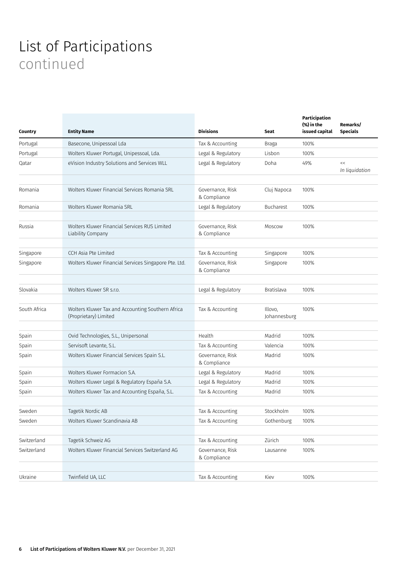| Country      | <b>Entity Name</b>                                                         | <b>Divisions</b>                 | Seat                    | Participation<br>(%) in the<br>issued capital | Remarks/<br><b>Specials</b> |
|--------------|----------------------------------------------------------------------------|----------------------------------|-------------------------|-----------------------------------------------|-----------------------------|
| Portugal     | Basecone, Unipessoal Lda                                                   | Tax & Accounting                 | Braga                   | 100%                                          |                             |
| Portugal     | Wolters Kluwer Portugal, Unipessoal, Lda.                                  | Legal & Regulatory               | Lisbon                  | 100%                                          |                             |
| Qatar        | eVision Industry Solutions and Services WLL                                | Legal & Regulatory               | Doha                    | 49%                                           | <<<br>In liquidation        |
| Romania      | Wolters Kluwer Financial Services Romania SRL                              | Governance, Risk<br>& Compliance | Cluj Napoca             | 100%                                          |                             |
| Romania      | Wolters Kluwer Romania SRL                                                 | Legal & Regulatory               | Bucharest               | 100%                                          |                             |
| Russia       | Wolters Kluwer Financial Services RUS Limited<br>Liability Company         | Governance, Risk<br>& Compliance | Moscow                  | 100%                                          |                             |
| Singapore    | CCH Asia Pte Limited                                                       | Tax & Accounting                 | Singapore               | 100%                                          |                             |
| Singapore    | Wolters Kluwer Financial Services Singapore Pte. Ltd.                      | Governance, Risk<br>& Compliance | Singapore               | 100%                                          |                             |
| Slovakia     | Wolters Kluwer SR s.r.o.                                                   | Legal & Regulatory               | <b>Bratislava</b>       | 100%                                          |                             |
|              |                                                                            |                                  |                         |                                               |                             |
| South Africa | Wolters Kluwer Tax and Accounting Southern Africa<br>(Proprietary) Limited | Tax & Accounting                 | Illovo,<br>Johannesburg | 100%                                          |                             |
|              |                                                                            |                                  |                         |                                               |                             |
| Spain        | Ovid Technologies, S.L., Unipersonal                                       | Health                           | Madrid                  | 100%                                          |                             |
| Spain        | Servisoft Levante, S.L.                                                    | Tax & Accounting                 | Valencia                | 100%                                          |                             |
| Spain        | Wolters Kluwer Financial Services Spain S.L.                               | Governance, Risk<br>& Compliance | Madrid                  | 100%                                          |                             |
| Spain        | Wolters Kluwer Formacion S.A.                                              | Legal & Regulatory               | Madrid                  | 100%                                          |                             |
| Spain        | Wolters Kluwer Legal & Regulatory España S.A.                              | Legal & Regulatory               | Madrid                  | 100%                                          |                             |
| Spain        | Wolters Kluwer Tax and Accounting España, S.L.                             | Tax & Accounting                 | Madrid                  | 100%                                          |                             |
|              |                                                                            |                                  |                         |                                               |                             |
| Sweden       | Tagetik Nordic AB                                                          | Tax & Accounting                 | Stockholm               | 100%                                          |                             |
| Sweden       | Wolters Kluwer Scandinavia AB                                              | Tax & Accounting                 | Gothenburg              | 100%                                          |                             |
|              |                                                                            |                                  |                         |                                               |                             |
| Switzerland  | Tagetik Schweiz AG                                                         | Tax & Accounting                 | Zürich                  | 100%                                          |                             |
| Switzerland  | Wolters Kluwer Financial Services Switzerland AG                           | Governance, Risk<br>& Compliance | Lausanne                | 100%                                          |                             |
|              |                                                                            |                                  |                         |                                               |                             |
| Ukraine      | Twinfield UA, LLC                                                          | Tax & Accounting                 | Kiev                    | 100%                                          |                             |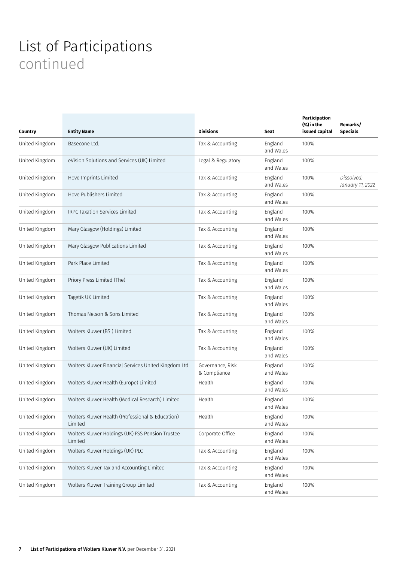| Country        | <b>Entity Name</b>                                          | <b>Divisions</b>                 | Seat                 | Participation<br>(%) in the<br>issued capital | Remarks/<br><b>Specials</b>    |
|----------------|-------------------------------------------------------------|----------------------------------|----------------------|-----------------------------------------------|--------------------------------|
| United Kingdom | Basecone Ltd.                                               | Tax & Accounting                 | England<br>and Wales | 100%                                          |                                |
| United Kingdom | eVision Solutions and Services (UK) Limited                 | Legal & Regulatory               | England<br>and Wales | 100%                                          |                                |
| United Kingdom | Hove Imprints Limited                                       | Tax & Accounting                 | England<br>and Wales | 100%                                          | Dissolved:<br>January 11, 2022 |
| United Kingdom | Hove Publishers Limited                                     | Tax & Accounting                 | England<br>and Wales | 100%                                          |                                |
| United Kingdom | <b>IRPC Taxation Services Limited</b>                       | Tax & Accounting                 | England<br>and Wales | 100%                                          |                                |
| United Kingdom | Mary Glasgow (Holdings) Limited                             | Tax & Accounting                 | England<br>and Wales | 100%                                          |                                |
| United Kingdom | Mary Glasgow Publications Limited                           | Tax & Accounting                 | England<br>and Wales | 100%                                          |                                |
| United Kingdom | Park Place Limited                                          | Tax & Accounting                 | England<br>and Wales | 100%                                          |                                |
| United Kingdom | Priory Press Limited (The)                                  | Tax & Accounting                 | England<br>and Wales | 100%                                          |                                |
| United Kingdom | Tagetik UK Limited                                          | Tax & Accounting                 | England<br>and Wales | 100%                                          |                                |
| United Kingdom | Thomas Nelson & Sons Limited                                | Tax & Accounting                 | England<br>and Wales | 100%                                          |                                |
| United Kingdom | Wolters Kluwer (BSI) Limited                                | Tax & Accounting                 | England<br>and Wales | 100%                                          |                                |
| United Kingdom | Wolters Kluwer (UK) Limited                                 | Tax & Accounting                 | England<br>and Wales | 100%                                          |                                |
| United Kingdom | Wolters Kluwer Financial Services United Kingdom Ltd        | Governance, Risk<br>& Compliance | England<br>and Wales | 100%                                          |                                |
| United Kingdom | Wolters Kluwer Health (Europe) Limited                      | Health                           | England<br>and Wales | 100%                                          |                                |
| United Kingdom | Wolters Kluwer Health (Medical Research) Limited            | Health                           | England<br>and Wales | 100%                                          |                                |
| United Kingdom | Wolters Kluwer Health (Professional & Education)<br>Limited | Health                           | England<br>and Wales | 100%                                          |                                |
| United Kingdom | Wolters Kluwer Holdings (UK) FSS Pension Trustee<br>Limited | Corporate Office                 | England<br>and Wales | 100%                                          |                                |
| United Kingdom | Wolters Kluwer Holdings (UK) PLC                            | Tax & Accounting                 | England<br>and Wales | 100%                                          |                                |
| United Kingdom | Wolters Kluwer Tax and Accounting Limited                   | Tax & Accounting                 | England<br>and Wales | 100%                                          |                                |
| United Kingdom | Wolters Kluwer Training Group Limited                       | Tax & Accounting                 | England<br>and Wales | 100%                                          |                                |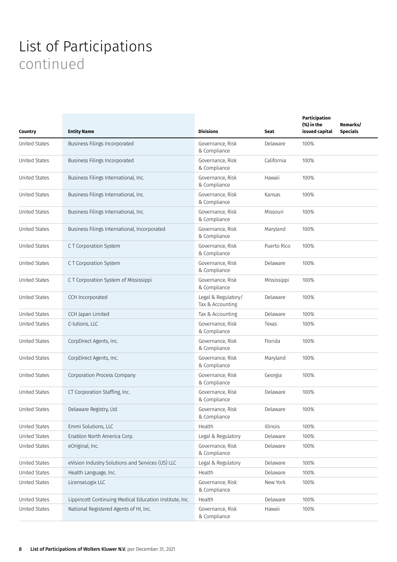| Country              | <b>Entity Name</b>                                      | <b>Divisions</b>                        | Seat        | Participation<br>(%) in the<br>issued capital | Remarks/<br><b>Specials</b> |
|----------------------|---------------------------------------------------------|-----------------------------------------|-------------|-----------------------------------------------|-----------------------------|
| <b>United States</b> | Business Filings Incorporated                           | Governance, Risk<br>& Compliance        | Delaware    | 100%                                          |                             |
| <b>United States</b> | Business Filings Incorporated                           | Governance, Risk<br>& Compliance        | California  | 100%                                          |                             |
| <b>United States</b> | Business Filings International, Inc.                    | Governance, Risk<br>& Compliance        | Hawaii      | 100%                                          |                             |
| <b>United States</b> | Business Filings International, Inc.                    | Governance, Risk<br>& Compliance        | Kansas      | 100%                                          |                             |
| <b>United States</b> | Business Filings International, Inc.                    | Governance, Risk<br>& Compliance        | Missouri    | 100%                                          |                             |
| <b>United States</b> | Business Filings International, Incorporated            | Governance, Risk<br>& Compliance        | Maryland    | 100%                                          |                             |
| <b>United States</b> | C T Corporation System                                  | Governance, Risk<br>& Compliance        | Puerto Rico | 100%                                          |                             |
| <b>United States</b> | C T Corporation System                                  | Governance, Risk<br>& Compliance        | Delaware    | 100%                                          |                             |
| <b>United States</b> | C T Corporation System of Mississippi                   | Governance, Risk<br>& Compliance        | Mississippi | 100%                                          |                             |
| <b>United States</b> | CCH Incorporated                                        | Legal & Regulatory/<br>Tax & Accounting | Delaware    | 100%                                          |                             |
| <b>United States</b> | CCH Japan Limited                                       | Tax & Accounting                        | Delaware    | 100%                                          |                             |
| <b>United States</b> | C-lutions, LLC                                          | Governance, Risk<br>& Compliance        | Texas       | 100%                                          |                             |
| <b>United States</b> | CorpDirect Agents, Inc.                                 | Governance, Risk<br>& Compliance        | Florida     | 100%                                          |                             |
| <b>United States</b> | CorpDirect Agents, Inc.                                 | Governance, Risk<br>& Compliance        | Maryland    | 100%                                          |                             |
| <b>United States</b> | Corporation Process Company                             | Governance, Risk<br>& Compliance        | Georgia     | 100%                                          |                             |
| <b>United States</b> | CT Corporation Staffing, Inc.                           | Governance, Risk<br>& Compliance        | Delaware    | 100%                                          |                             |
| <b>United States</b> | Delaware Registry, Ltd.                                 | Governance, Risk<br>& Compliance        | Delaware    | 100%                                          |                             |
| <b>United States</b> | Emmi Solutions, LLC                                     | Health                                  | Illinois    | 100%                                          |                             |
| <b>United States</b> | Enablon North America Corp.                             | Legal & Regulatory                      | Delaware    | 100%                                          |                             |
| <b>United States</b> | eOriginal, Inc.                                         | Governance, Risk<br>& Compliance        | Delaware    | 100%                                          |                             |
| <b>United States</b> | eVision Industry Solutions and Services (US) LLC        | Legal & Regulatory                      | Delaware    | 100%                                          |                             |
| United States        | Health Language, Inc.                                   | Health                                  | Delaware    | 100%                                          |                             |
| United States        | LicenseLogix LLC                                        | Governance, Risk<br>& Compliance        | New York    | 100%                                          |                             |
| United States        | Lippincott Continuing Medical Education Institute, Inc. | Health                                  | Delaware    | 100%                                          |                             |
| United States        | National Registered Agents of HI, Inc.                  | Governance, Risk<br>& Compliance        | Hawaii      | 100%                                          |                             |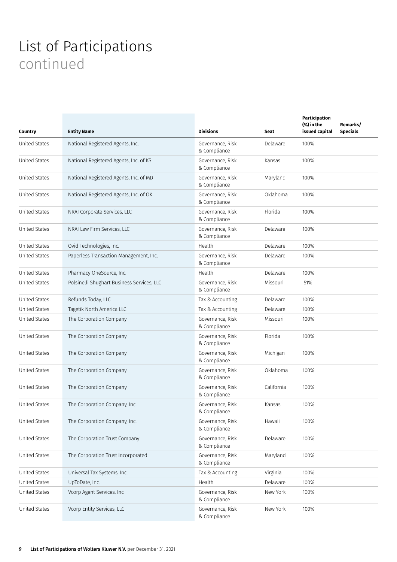| Country              | <b>Entity Name</b>                         | <b>Divisions</b>                 | Seat       | Participation<br>(%) in the<br>issued capital | Remarks/<br><b>Specials</b> |
|----------------------|--------------------------------------------|----------------------------------|------------|-----------------------------------------------|-----------------------------|
| <b>United States</b> | National Registered Agents, Inc.           | Governance, Risk<br>& Compliance | Delaware   | 100%                                          |                             |
| <b>United States</b> | National Registered Agents, Inc. of KS     | Governance, Risk<br>& Compliance | Kansas     | 100%                                          |                             |
| <b>United States</b> | National Registered Agents, Inc. of MD     | Governance, Risk<br>& Compliance | Maryland   | 100%                                          |                             |
| <b>United States</b> | National Registered Agents, Inc. of OK     | Governance, Risk<br>& Compliance | Oklahoma   | 100%                                          |                             |
| <b>United States</b> | NRAI Corporate Services, LLC               | Governance, Risk<br>& Compliance | Florida    | 100%                                          |                             |
| <b>United States</b> | NRAI Law Firm Services, LLC                | Governance, Risk<br>& Compliance | Delaware   | 100%                                          |                             |
| <b>United States</b> | Ovid Technologies, Inc.                    | Health                           | Delaware   | 100%                                          |                             |
| <b>United States</b> | Paperless Transaction Management, Inc.     | Governance, Risk<br>& Compliance | Delaware   | 100%                                          |                             |
| <b>United States</b> | Pharmacy OneSource, Inc.                   | Health                           | Delaware   | 100%                                          |                             |
| <b>United States</b> | Polsinelli Shughart Business Services, LLC | Governance, Risk<br>& Compliance | Missouri   | 51%                                           |                             |
| <b>United States</b> | Refunds Today, LLC                         | Tax & Accounting                 | Delaware   | 100%                                          |                             |
| <b>United States</b> | Tagetik North America LLC                  | Tax & Accounting                 | Delaware   | 100%                                          |                             |
| <b>United States</b> | The Corporation Company                    | Governance, Risk<br>& Compliance | Missouri   | 100%                                          |                             |
| <b>United States</b> | The Corporation Company                    | Governance, Risk<br>& Compliance | Florida    | 100%                                          |                             |
| <b>United States</b> | The Corporation Company                    | Governance, Risk<br>& Compliance | Michigan   | 100%                                          |                             |
| United States        | The Corporation Company                    | Governance, Risk<br>& Compliance | Oklahoma   | 100%                                          |                             |
| <b>United States</b> | The Corporation Company                    | Governance, Risk<br>& Compliance | California | 100%                                          |                             |
| <b>United States</b> | The Corporation Company, Inc.              | Governance, Risk<br>& Compliance | Kansas     | 100%                                          |                             |
| United States        | The Corporation Company, Inc.              | Governance, Risk<br>& Compliance | Hawaii     | 100%                                          |                             |
| United States        | The Corporation Trust Company              | Governance, Risk<br>& Compliance | Delaware   | 100%                                          |                             |
| <b>United States</b> | The Corporation Trust Incorporated         | Governance, Risk<br>& Compliance | Maryland   | 100%                                          |                             |
| United States        | Universal Tax Systems, Inc.                | Tax & Accounting                 | Virginia   | 100%                                          |                             |
| <b>United States</b> | UpToDate, Inc.                             | Health                           | Delaware   | 100%                                          |                             |
| <b>United States</b> | Vcorp Agent Services, Inc                  | Governance, Risk<br>& Compliance | New York   | 100%                                          |                             |
| <b>United States</b> | Vcorp Entity Services, LLC                 | Governance, Risk<br>& Compliance | New York   | 100%                                          |                             |